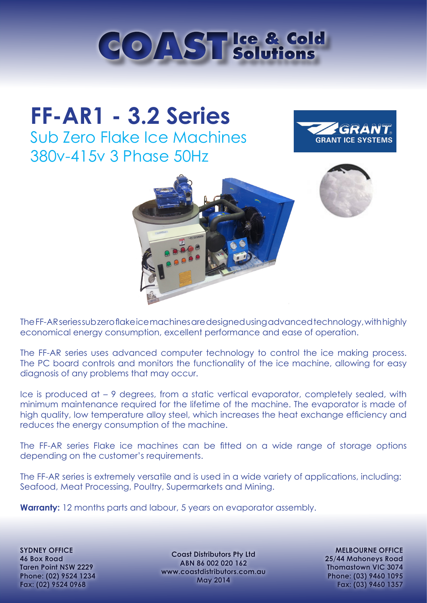

# **FF-AR1 - 3.2 Series** Sub Zero Flake Ice Machines 380v-415v 3 Phase 50Hz





The FF-AR series sub zero flake ice machines are designed using advanced technology, with highly economical energy consumption, excellent performance and ease of operation.

The FF-AR series uses advanced computer technology to control the ice making process. The PC board controls and monitors the functionality of the ice machine, allowing for easy diagnosis of any problems that may occur.

Ice is produced at – 9 degrees, from a static vertical evaporator, completely sealed, with minimum maintenance required for the lifetime of the machine. The evaporator is made of high quality, low temperature alloy steel, which increases the heat exchange efficiency and reduces the energy consumption of the machine.

The FF-AR series Flake ice machines can be fitted on a wide range of storage options depending on the customer's requirements.

The FF-AR series is extremely versatile and is used in a wide variety of applications, including: Seafood, Meat Processing, Poultry, Supermarkets and Mining.

**Warranty:** 12 months parts and labour, 5 years on evaporator assembly.

**SYDNEY OFFICE 46 Box Road Taren Point NSW 2229 Phone: (02) 9524 1234 Fax: (02) 9524 0968**

**Coast Distributors Pty Ltd ABN 86 002 020 162 www.coastdistributors.com.au May 2014**

**MELBOURNE OFFICE 25/44 Mahoneys Road Thomastown VIC 3074 Phone: (03) 9460 1095 Fax: (03) 9460 1357**